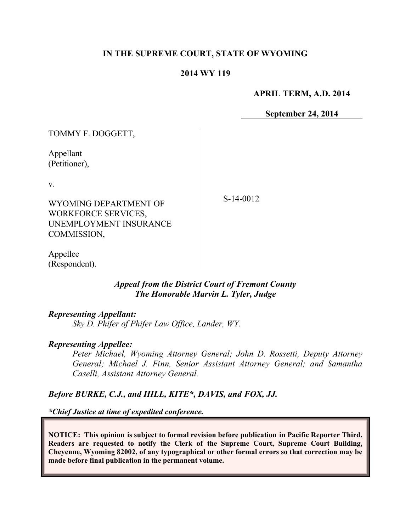## **IN THE SUPREME COURT, STATE OF WYOMING**

#### **2014 WY 119**

**APRIL TERM, A.D. 2014**

**September 24, 2014**

| TOMMY F. DOGGETT,                                                                                  |             |
|----------------------------------------------------------------------------------------------------|-------------|
| Appellant<br>(Petitioner),                                                                         |             |
| V.<br>WYOMING DEPARTMENT OF<br><b>WORKFORCE SERVICES,</b><br>UNEMPLOYMENT INSURANCE<br>COMMISSION, | $S-14-0012$ |

Appellee (Respondent).

## *Appeal from the District Court of Fremont County The Honorable Marvin L. Tyler, Judge*

### *Representing Appellant:*

*Sky D. Phifer of Phifer Law Office, Lander, WY*.

### *Representing Appellee:*

*Peter Michael, Wyoming Attorney General; John D. Rossetti, Deputy Attorney General; Michael J. Finn, Senior Assistant Attorney General; and Samantha Caselli, Assistant Attorney General.*

### *Before BURKE, C.J., and HILL, KITE\*, DAVIS, and FOX, JJ.*

*\*Chief Justice at time of expedited conference.*

**NOTICE: This opinion is subject to formal revision before publication in Pacific Reporter Third. Readers are requested to notify the Clerk of the Supreme Court, Supreme Court Building, Cheyenne, Wyoming 82002, of any typographical or other formal errors so that correction may be made before final publication in the permanent volume.**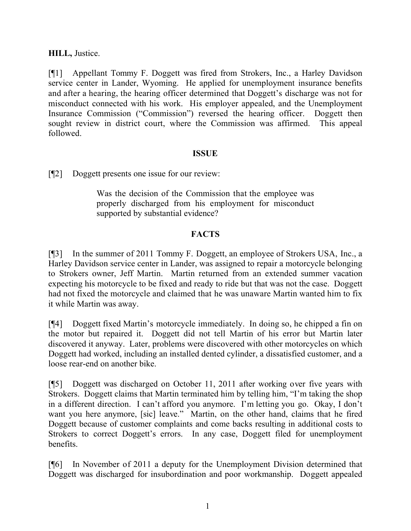# **HILL,** Justice.

[¶1] Appellant Tommy F. Doggett was fired from Strokers, Inc., a Harley Davidson service center in Lander, Wyoming. He applied for unemployment insurance benefits and after a hearing, the hearing officer determined that Doggett's discharge was not for misconduct connected with his work. His employer appealed, and the Unemployment Insurance Commission ("Commission") reversed the hearing officer. Doggett then sought review in district court, where the Commission was affirmed. This appeal followed.

## **ISSUE**

[¶2] Doggett presents one issue for our review:

Was the decision of the Commission that the employee was properly discharged from his employment for misconduct supported by substantial evidence?

# **FACTS**

[¶3] In the summer of 2011 Tommy F. Doggett, an employee of Strokers USA, Inc., a Harley Davidson service center in Lander, was assigned to repair a motorcycle belonging to Strokers owner, Jeff Martin. Martin returned from an extended summer vacation expecting his motorcycle to be fixed and ready to ride but that was not the case. Doggett had not fixed the motorcycle and claimed that he was unaware Martin wanted him to fix it while Martin was away.

[¶4] Doggett fixed Martin's motorcycle immediately. In doing so, he chipped a fin on the motor but repaired it. Doggett did not tell Martin of his error but Martin later discovered it anyway. Later, problems were discovered with other motorcycles on which Doggett had worked, including an installed dented cylinder, a dissatisfied customer, and a loose rear-end on another bike.

[¶5] Doggett was discharged on October 11, 2011 after working over five years with Strokers. Doggett claims that Martin terminated him by telling him, "I'm taking the shop in a different direction. I can't afford you anymore. I'm letting you go. Okay, I don't want you here anymore, [sic] leave." Martin, on the other hand, claims that he fired Doggett because of customer complaints and come backs resulting in additional costs to Strokers to correct Doggett's errors. In any case, Doggett filed for unemployment benefits.

[¶6] In November of 2011 a deputy for the Unemployment Division determined that Doggett was discharged for insubordination and poor workmanship. Doggett appealed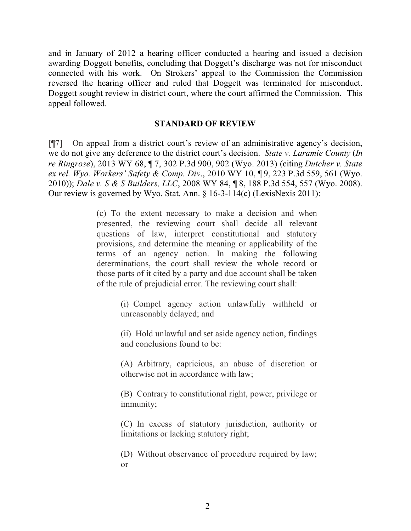and in January of 2012 a hearing officer conducted a hearing and issued a decision awarding Doggett benefits, concluding that Doggett's discharge was not for misconduct connected with his work. On Strokers' appeal to the Commission the Commission reversed the hearing officer and ruled that Doggett was terminated for misconduct. Doggett sought review in district court, where the court affirmed the Commission. This appeal followed.

### **STANDARD OF REVIEW**

[¶7] On appeal from a district court's review of an administrative agency's decision, we do not give any deference to the district court's decision. *State v. Laramie County* (*In re Ringrose*), 2013 WY 68, ¶ 7, 302 P.3d 900, 902 (Wyo. 2013) (citing *Dutcher v. State ex rel. Wyo. Workers' Safety & Comp. Div*., 2010 WY 10, ¶ 9, 223 P.3d 559, 561 (Wyo. 2010)); *Dale v. S & S Builders, LLC*, 2008 WY 84, ¶ 8, 188 P.3d 554, 557 (Wyo. 2008). Our review is governed by Wyo. Stat. Ann. § 16-3-114(c) (LexisNexis 2011):

> (c) To the extent necessary to make a decision and when presented, the reviewing court shall decide all relevant questions of law, interpret constitutional and statutory provisions, and determine the meaning or applicability of the terms of an agency action. In making the following determinations, the court shall review the whole record or those parts of it cited by a party and due account shall be taken of the rule of prejudicial error. The reviewing court shall:

> > (i) Compel agency action unlawfully withheld or unreasonably delayed; and

> > (ii) Hold unlawful and set aside agency action, findings and conclusions found to be:

> > (A) Arbitrary, capricious, an abuse of discretion or otherwise not in accordance with law;

> > (B) Contrary to constitutional right, power, privilege or immunity;

> > (C) In excess of statutory jurisdiction, authority or limitations or lacking statutory right;

> > (D) Without observance of procedure required by law; or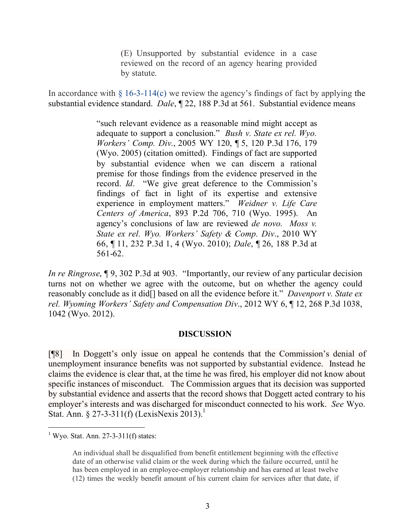(E) Unsupported by substantial evidence in a case reviewed on the record of an agency hearing provided by statute.

In accordance with  $\S$  16-3-114(c) we review the agency's findings of fact by applying the substantial evidence standard. *Dale*, ¶ 22, 188 P.3d at 561. Substantial evidence means

> "such relevant evidence as a reasonable mind might accept as adequate to support a conclusion." *Bush v. State ex rel. Wyo. Workers' Comp. Div*., 2005 WY 120, ¶ 5, 120 P.3d 176, 179 (Wyo. 2005) (citation omitted). Findings of fact are supported by substantial evidence when we can discern a rational premise for those findings from the evidence preserved in the record. *Id*. "We give great deference to the Commission's findings of fact in light of its expertise and extensive experience in employment matters." *Weidner v. Life Care Centers of America*, 893 P.2d 706, 710 (Wyo. 1995). An agency's conclusions of law are reviewed *de novo. Moss v. State ex rel. Wyo. Workers' Safety & Comp. Div*., 2010 WY 66, ¶ 11, 232 P.3d 1, 4 (Wyo. 2010); *Dale*, ¶ 26, 188 P.3d at 561-62.

*In re Ringrose*, ¶ 9, 302 P.3d at 903. "Importantly, our review of any particular decision turns not on whether we agree with the outcome, but on whether the agency could reasonably conclude as it did[] based on all the evidence before it." *Davenport v. State ex rel. Wyoming Workers' Safety and Compensation Div*., 2012 WY 6, ¶ 12, 268 P.3d 1038, 1042 (Wyo. 2012).

### **DISCUSSION**

[¶8] In Doggett's only issue on appeal he contends that the Commission's denial of unemployment insurance benefits was not supported by substantial evidence. Instead he claims the evidence is clear that, at the time he was fired, his employer did not know about specific instances of misconduct. The Commission argues that its decision was supported by substantial evidence and asserts that the record shows that Doggett acted contrary to his employer's interests and was discharged for misconduct connected to his work. *See* Wyo. Stat. Ann.  $\S 27 - 3 - 311(f)$  (LexisNexis 2013).<sup>1</sup>

 $\overline{a}$ 

 $1$  Wyo. Stat. Ann. 27-3-311(f) states:

An individual shall be disqualified from benefit entitlement beginning with the effective date of an otherwise valid claim or the week during which the failure occurred, until he has been employed in an employee-employer relationship and has earned at least twelve (12) times the weekly benefit amount of his current claim for services after that date, if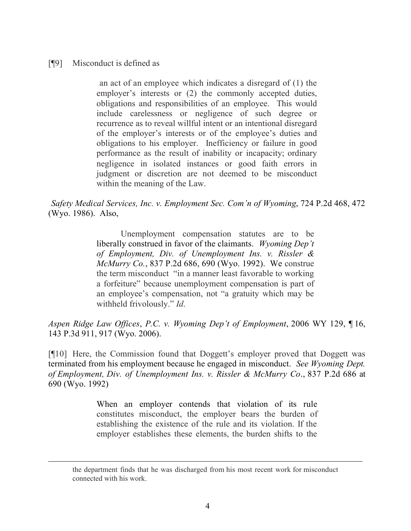## [¶9] Misconduct is defined as

an act of an employee which indicates a disregard of (1) the employer's interests or (2) the commonly accepted duties, obligations and responsibilities of an employee. This would include carelessness or negligence of such degree or recurrence as to reveal willful intent or an intentional disregard of the employer's interests or of the employee's duties and obligations to his employer. Inefficiency or failure in good performance as the result of inability or incapacity; ordinary negligence in isolated instances or good faith errors in judgment or discretion are not deemed to be misconduct within the meaning of the Law.

*Safety Medical Services, Inc. v. Employment Sec. Com'n of Wyoming*, 724 P.2d 468, 472 (Wyo. 1986). Also,

> Unemployment compensation statutes are to be liberally construed in favor of the claimants. *Wyoming Dep't of Employment, Div. of Unemployment Ins. v. Rissler & McMurry Co.*, 837 P.2d 686, 690 (Wyo. 1992). We construe the term misconduct "in a manner least favorable to working a forfeiture" because unemployment compensation is part of an employee's compensation, not "a gratuity which may be withheld frivolously." *Id*.

*Aspen Ridge Law Offices*, *P.C. v. Wyoming Dep't of Employment*, 2006 WY 129, ¶ 16, 143 P.3d 911, 917 (Wyo. 2006).

[¶10] Here, the Commission found that Doggett's employer proved that Doggett was terminated from his employment because he engaged in misconduct. *See Wyoming Dept. of Employment, Div. of Unemployment Ins. v. Rissler & McMurry Co*., 837 P.2d 686 at 690 (Wyo. 1992)

> When an employer contends that violation of its rule constitutes misconduct, the employer bears the burden of establishing the existence of the rule and its violation. If the employer establishes these elements, the burden shifts to the

the department finds that he was discharged from his most recent work for misconduct connected with his work.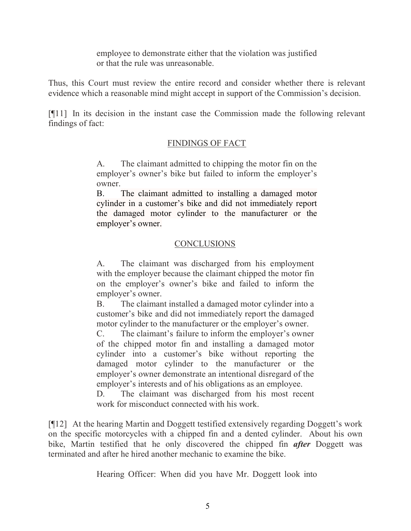employee to demonstrate either that the violation was justified or that the rule was unreasonable.

Thus, this Court must review the entire record and consider whether there is relevant evidence which a reasonable mind might accept in support of the Commission's decision.

[¶11] In its decision in the instant case the Commission made the following relevant findings of fact:

# FINDINGS OF FACT

A. The claimant admitted to chipping the motor fin on the employer's owner's bike but failed to inform the employer's owner.

B. The claimant admitted to installing a damaged motor cylinder in a customer's bike and did not immediately report the damaged motor cylinder to the manufacturer or the employer's owner.

# CONCLUSIONS

A. The claimant was discharged from his employment with the employer because the claimant chipped the motor fin on the employer's owner's bike and failed to inform the employer's owner.

B. The claimant installed a damaged motor cylinder into a customer's bike and did not immediately report the damaged motor cylinder to the manufacturer or the employer's owner.

C. The claimant's failure to inform the employer's owner of the chipped motor fin and installing a damaged motor cylinder into a customer's bike without reporting the damaged motor cylinder to the manufacturer or the employer's owner demonstrate an intentional disregard of the employer's interests and of his obligations as an employee.

D. The claimant was discharged from his most recent work for misconduct connected with his work.

[¶12] At the hearing Martin and Doggett testified extensively regarding Doggett's work on the specific motorcycles with a chipped fin and a dented cylinder. About his own bike, Martin testified that he only discovered the chipped fin *after* Doggett was terminated and after he hired another mechanic to examine the bike.

Hearing Officer: When did you have Mr. Doggett look into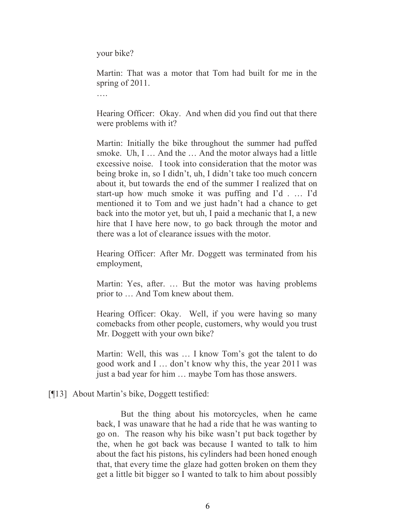your bike?

Martin: That was a motor that Tom had built for me in the spring of 2011.

….

Hearing Officer: Okay. And when did you find out that there were problems with it?

Martin: Initially the bike throughout the summer had puffed smoke. Uh, I ... And the ... And the motor always had a little excessive noise. I took into consideration that the motor was being broke in, so I didn't, uh, I didn't take too much concern about it, but towards the end of the summer I realized that on start-up how much smoke it was puffing and I'd . … I'd mentioned it to Tom and we just hadn't had a chance to get back into the motor yet, but uh, I paid a mechanic that I, a new hire that I have here now, to go back through the motor and there was a lot of clearance issues with the motor.

Hearing Officer: After Mr. Doggett was terminated from his employment,

Martin: Yes, after. … But the motor was having problems prior to … And Tom knew about them.

Hearing Officer: Okay. Well, if you were having so many comebacks from other people, customers, why would you trust Mr. Doggett with your own bike?

Martin: Well, this was … I know Tom's got the talent to do good work and I … don't know why this, the year 2011 was just a bad year for him … maybe Tom has those answers.

# [¶13] About Martin's bike, Doggett testified:

But the thing about his motorcycles, when he came back, I was unaware that he had a ride that he was wanting to go on. The reason why his bike wasn't put back together by the, when he got back was because I wanted to talk to him about the fact his pistons, his cylinders had been honed enough that, that every time the glaze had gotten broken on them they get a little bit bigger so I wanted to talk to him about possibly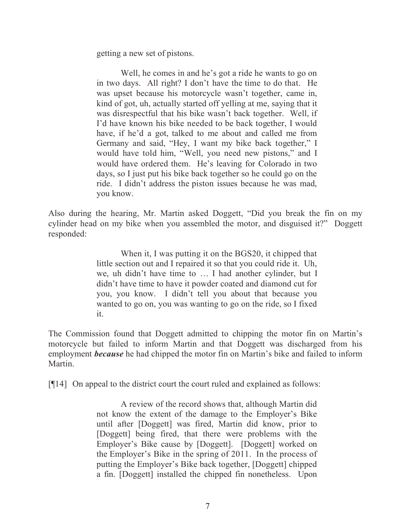getting a new set of pistons.

Well, he comes in and he's got a ride he wants to go on in two days. All right? I don't have the time to do that. He was upset because his motorcycle wasn't together, came in, kind of got, uh, actually started off yelling at me, saying that it was disrespectful that his bike wasn't back together. Well, if I'd have known his bike needed to be back together, I would have, if he'd a got, talked to me about and called me from Germany and said, "Hey, I want my bike back together," I would have told him, "Well, you need new pistons," and I would have ordered them. He's leaving for Colorado in two days, so I just put his bike back together so he could go on the ride. I didn't address the piston issues because he was mad, you know.

Also during the hearing, Mr. Martin asked Doggett, "Did you break the fin on my cylinder head on my bike when you assembled the motor, and disguised it?" Doggett responded:

> When it, I was putting it on the BGS20, it chipped that little section out and I repaired it so that you could ride it. Uh, we, uh didn't have time to … I had another cylinder, but I didn't have time to have it powder coated and diamond cut for you, you know. I didn't tell you about that because you wanted to go on, you was wanting to go on the ride, so I fixed it.

The Commission found that Doggett admitted to chipping the motor fin on Martin's motorcycle but failed to inform Martin and that Doggett was discharged from his employment *because* he had chipped the motor fin on Martin's bike and failed to inform Martin.

[¶14] On appeal to the district court the court ruled and explained as follows:

A review of the record shows that, although Martin did not know the extent of the damage to the Employer's Bike until after [Doggett] was fired, Martin did know, prior to [Doggett] being fired, that there were problems with the Employer's Bike cause by [Doggett]. [Doggett] worked on the Employer's Bike in the spring of 2011. In the process of putting the Employer's Bike back together, [Doggett] chipped a fin. [Doggett] installed the chipped fin nonetheless. Upon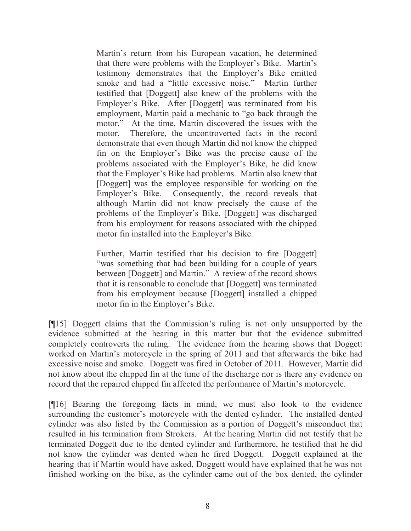Martin's return from his European vacation, he determined that there were problems with the Employer's Bike. Martin's testimony demonstrates that the Employer's Bike emitted smoke and had a "little excessive noise." Martin further testified that [Doggett] also knew of the problems with the Employer's Bike. After [Doggett] was terminated from his employment, Martin paid a mechanic to "go back through the motor." At the time, Martin discovered the issues with the motor. Therefore, the uncontroverted facts in the record demonstrate that even though Martin did not know the chipped fin on the Employer's Bike was the precise cause of the problems associated with the Employer's Bike, he did know that the Employer's Bike had problems. Martin also knew that [Doggett] was the employee responsible for working on the Employer's Bike. Consequently, the record reveals that although Martin did not know precisely the cause of the problems of the Employer's Bike, [Doggett] was discharged from his employment for reasons associated with the chipped motor fin installed into the Employer's Bike.

Further, Martin testified that his decision to fire [Doggett] "was something that had been building for a couple of years between [Doggett] and Martin." A review of the record shows that it is reasonable to conclude that [Doggett] was terminated from his employment because [Doggett] installed a chipped motor fin in the Employer's Bike.

[¶15] Doggett claims that the Commission's ruling is not only unsupported by the evidence submitted at the hearing in this matter but that the evidence submitted completely controverts the ruling. The evidence from the hearing shows that Doggett worked on Martin's motorcycle in the spring of 2011 and that afterwards the bike had excessive noise and smoke. Doggett was fired in October of 2011. However, Martin did not know about the chipped fin at the time of the discharge nor is there any evidence on record that the repaired chipped fin affected the performance of Martin's motorcycle.

[¶16] Bearing the foregoing facts in mind, we must also look to the evidence surrounding the customer's motorcycle with the dented cylinder. The installed dented cylinder was also listed by the Commission as a portion of Doggett's misconduct that resulted in his termination from Strokers. At the hearing Martin did not testify that he terminated Doggett due to the dented cylinder and furthermore, he testified that he did not know the cylinder was dented when he fired Doggett. Doggett explained at the hearing that if Martin would have asked, Doggett would have explained that he was not finished working on the bike, as the cylinder came out of the box dented, the cylinder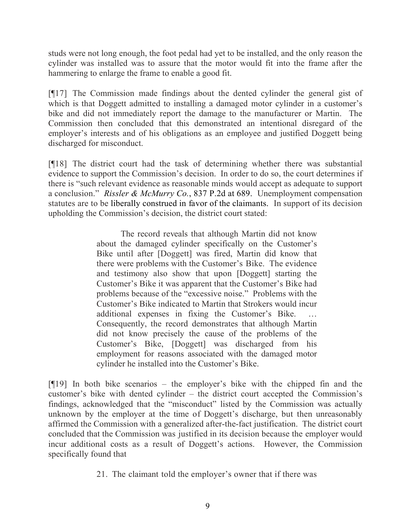studs were not long enough, the foot pedal had yet to be installed, and the only reason the cylinder was installed was to assure that the motor would fit into the frame after the hammering to enlarge the frame to enable a good fit.

[¶17] The Commission made findings about the dented cylinder the general gist of which is that Doggett admitted to installing a damaged motor cylinder in a customer's bike and did not immediately report the damage to the manufacturer or Martin. The Commission then concluded that this demonstrated an intentional disregard of the employer's interests and of his obligations as an employee and justified Doggett being discharged for misconduct.

[¶18] The district court had the task of determining whether there was substantial evidence to support the Commission's decision. In order to do so, the court determines if there is "such relevant evidence as reasonable minds would accept as adequate to support a conclusion." *Rissler & McMurry Co.*, 837 P.2d at 689. Unemployment compensation statutes are to be liberally construed in favor of the claimants. In support of its decision upholding the Commission's decision, the district court stated:

> The record reveals that although Martin did not know about the damaged cylinder specifically on the Customer's Bike until after [Doggett] was fired, Martin did know that there were problems with the Customer's Bike. The evidence and testimony also show that upon [Doggett] starting the Customer's Bike it was apparent that the Customer's Bike had problems because of the "excessive noise." Problems with the Customer's Bike indicated to Martin that Strokers would incur additional expenses in fixing the Customer's Bike. … Consequently, the record demonstrates that although Martin did not know precisely the cause of the problems of the Customer's Bike, [Doggett] was discharged from his employment for reasons associated with the damaged motor cylinder he installed into the Customer's Bike.

[¶19] In both bike scenarios – the employer's bike with the chipped fin and the customer's bike with dented cylinder – the district court accepted the Commission's findings, acknowledged that the "misconduct" listed by the Commission was actually unknown by the employer at the time of Doggett's discharge, but then unreasonably affirmed the Commission with a generalized after-the-fact justification. The district court concluded that the Commission was justified in its decision because the employer would incur additional costs as a result of Doggett's actions. However, the Commission specifically found that

21. The claimant told the employer's owner that if there was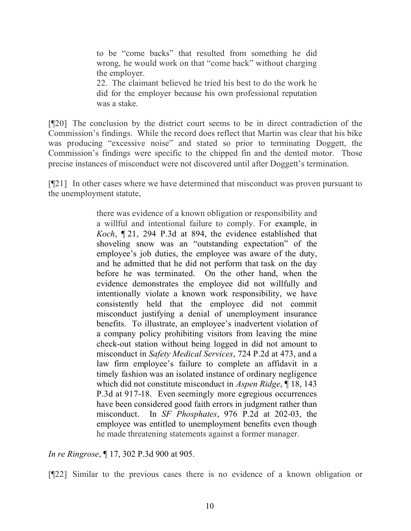to be "come backs" that resulted from something he did wrong, he would work on that "come back" without charging the employer.

22. The claimant believed he tried his best to do the work he did for the employer because his own professional reputation was a stake.

[¶20] The conclusion by the district court seems to be in direct contradiction of the Commission's findings. While the record does reflect that Martin was clear that his bike was producing "excessive noise" and stated so prior to terminating Doggett, the Commission's findings were specific to the chipped fin and the dented motor. Those precise instances of misconduct were not discovered until after Doggett's termination.

[¶21] In other cases where we have determined that misconduct was proven pursuant to the unemployment statute,

> there was evidence of a known obligation or responsibility and a willful and intentional failure to comply. For example, in *Koch*, ¶ 21, 294 P.3d at 894, the evidence established that shoveling snow was an "outstanding expectation" of the employee's job duties, the employee was aware of the duty, and he admitted that he did not perform that task on the day before he was terminated. On the other hand, when the evidence demonstrates the employee did not willfully and intentionally violate a known work responsibility, we have consistently held that the employee did not commit misconduct justifying a denial of unemployment insurance benefits. To illustrate, an employee's inadvertent violation of a company policy prohibiting visitors from leaving the mine check-out station without being logged in did not amount to misconduct in *Safety Medical Services*, 724 P.2d at 473, and a law firm employee's failure to complete an affidavit in a timely fashion was an isolated instance of ordinary negligence which did not constitute misconduct in *Aspen Ridge*, ¶ 18, 143 P.3d at 917-18. Even seemingly more egregious occurrences have been considered good faith errors in judgment rather than misconduct. In *SF Phosphates*, 976 P.2d at 202-03, the employee was entitled to unemployment benefits even though he made threatening statements against a former manager.

*In re Ringrose*, ¶ 17, 302 P.3d 900 at 905.

[¶22] Similar to the previous cases there is no evidence of a known obligation or